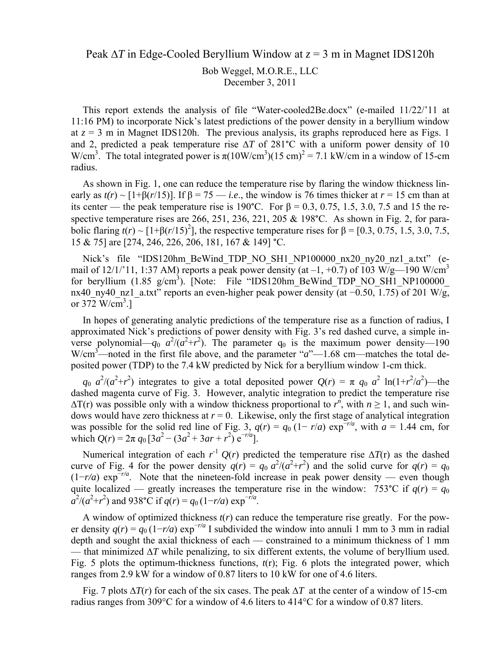Peak ∆*T* in Edge-Cooled Beryllium Window at *z* = 3 m in Magnet IDS120h

Bob Weggel, M.O.R.E., LLC December 3, 2011

This report extends the analysis of file "Water-cooled2Be.docx" (e-mailed 11/22/'11 at 11:16 PM) to incorporate Nick's latest predictions of the power density in a beryllium window at  $z = 3$  m in Magnet IDS120h. The previous analysis, its graphs reproduced here as Figs. 1 and 2, predicted a peak temperature rise ∆*T* of 281°C with a uniform power density of 10 W/cm<sup>3</sup>. The total integrated power is  $\pi(10 \text{W/cm}^3)(15 \text{ cm})^2 = 7.1 \text{ kW/cm}$  in a window of 15-cm radius.

As shown in Fig. 1, one can reduce the temperature rise by flaring the window thickness linearly as  $t(r) \sim [1+\beta(r/15)]$ . If  $\beta = 75$  — *i.e.*, the window is 76 times thicker at  $r = 15$  cm than at its center — the peak temperature rise is 190°C. For  $\beta = 0.3, 0.75, 1.5, 3.0, 7.5$  and 15 the respective temperature rises are 266, 251, 236, 221, 205 & 198°C. As shown in Fig. 2, for parabolic flaring  $t(r) \sim [1+\beta(r/15)^2]$ , the respective temperature rises for  $\beta = [0.3, 0.75, 1.5, 3.0, 7.5,$ 15 & 75] are [274, 246, 226, 206, 181, 167 & 149] °C.

Nick's file "IDS120hm\_BeWind\_TDP\_NO\_SH1\_NP100000\_nx20\_ny20\_nz1\_a.txt" (email of  $12/1/11$ , 1:37 AM) reports a peak power density (at  $-1$ ,  $+0.7$ ) of 103 W/g—190 W/cm<sup>3</sup> for beryllium  $(1.85 \text{ g/cm}^3)$ . [Note: File "IDS120hm BeWind TDP\_NO\_SH1\_NP100000 nx40\_ny40\_nz1\_a.txt" reports an even-higher peak power density (at −0.50, 1.75) of 201 W/g, or  $372 \text{ W/cm}^3$ .]

In hopes of generating analytic predictions of the temperature rise as a function of radius, I approximated Nick's predictions of power density with Fig. 3's red dashed curve, a simple inverse polynomial— $q_0$   $a^2/(a^2+r^2)$ . The parameter  $q_0$  is the maximum power density—190 W/cm<sup>3</sup>—noted in the first file above, and the parameter "*a*"—1.68 cm—matches the total deposited power (TDP) to the 7.4 kW predicted by Nick for a beryllium window 1-cm thick.

 $q_0 a^2/(a^2+r^2)$  integrates to give a total deposited power  $Q(r) = \pi q_0 a^2 \ln(1+r^2/a^2)$ —the dashed magenta curve of Fig. 3. However, analytic integration to predict the temperature rise  $\Delta T(r)$  was possible only with a window thickness proportional to  $r^n$ , with  $n \ge 1$ , and such windows would have zero thickness at  $r = 0$ . Likewise, only the first stage of analytical integration was possible for the solid red line of Fig. 3,  $q(r) = q_0 (1 - r/a) \exp^{-r/a}$ , with  $a = 1.44$  cm, for which  $Q(r) = 2\pi q_0 \left[3a^2 - (3a^2 + 3ar + r^2) e^{-r/a}\right]$ .

Numerical integration of each  $r^{-1}Q(r)$  predicted the temperature rise  $\Delta T(r)$  as the dashed curve of Fig. 4 for the power density  $q(r) = q_0 a^2/(a^2 + r^2)$  and the solid curve for  $q(r) = q_0$ (1−*r/a*) exp<sup>−</sup>*r/a*. Note that the nineteen-fold increase in peak power density — even though quite localized — greatly increases the temperature rise in the window: 753<sup>°</sup>C if  $q(r) = q_0$  $a^2/(a^2+r^2)$  and 938°C if  $q(r) = q_0 (1-r/a) \exp^{-r/a}$ .

A window of optimized thickness  $t(r)$  can reduce the temperature rise greatly. For the power density  $q(r) = q_0 (1 - r/a) \exp^{-r/a} I$  subdivided the window into annuli 1 mm to 3 mm in radial depth and sought the axial thickness of each — constrained to a minimum thickness of 1 mm — that minimized  $\Delta T$  while penalizing, to six different extents, the volume of beryllium used. Fig. 5 plots the optimum-thickness functions, *t*(r); Fig. 6 plots the integrated power, which ranges from 2.9 kW for a window of 0.87 liters to 10 kW for one of 4.6 liters.

Fig. 7 plots ∆*T*(*r*) for each of the six cases. The peak ∆*T* at the center of a window of 15-cm radius ranges from 309°C for a window of 4.6 liters to 414°C for a window of 0.87 liters.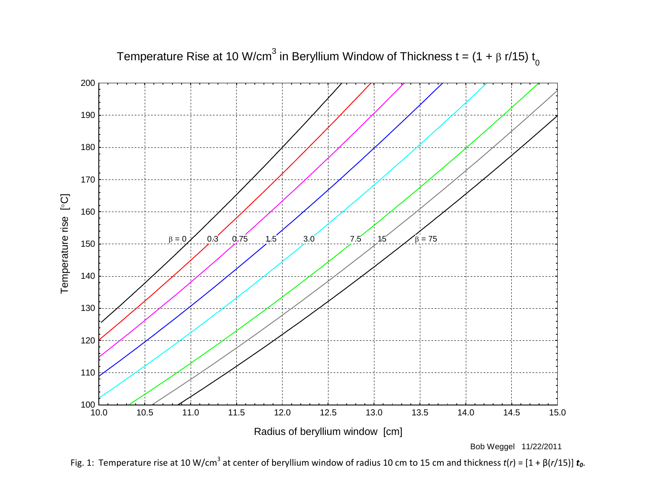

Temperature Rise at 10 W/cm<sup>3</sup> in Beryllium Window of Thickness t =  $(1 + \beta r/15) t_0$ 

Fig. 1: Temperature rise at 10 W/cm<sup>3</sup> at center of beryllium window of radius 10 cm to 15 cm and thickness  $t(r) = [1 + \beta(r/15)] t_0$ .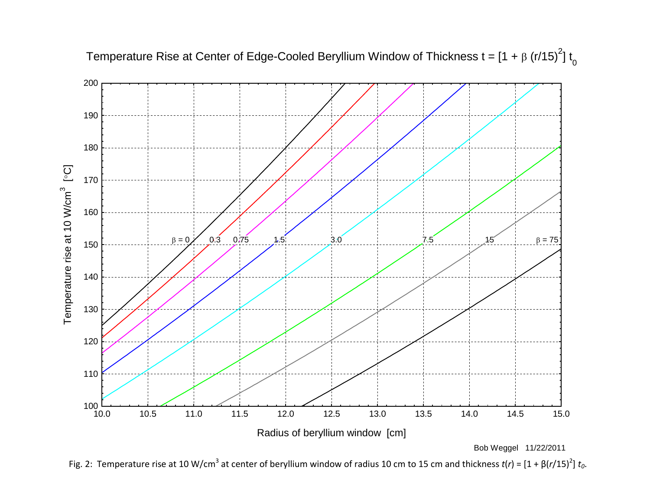



Fig. 2: Temperature rise at 10 W/cm<sup>3</sup> at center of beryllium window of radius 10 cm to 15 cm and thickness  $t(r) = [1 + \beta(r/15)^2] t_0$ .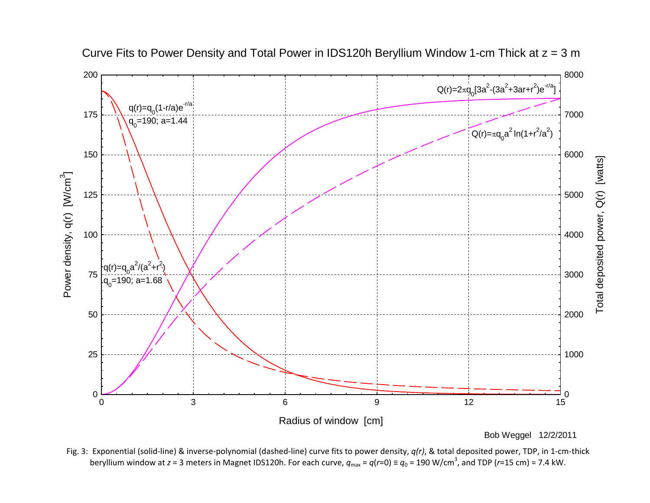

Curve Fits to Power Density and Total Power in IDS120h Beryllium Window 1-cm Thick at z = 3 m

Fig. 3: Exponential (solid‐line) & inverse‐polynomial (dashed‐line) curve fits to power density, *q(r)*, & total deposited power, TDP, in 1‐cm‐thick beryllium window at *z* = 3 meters in Magnet IDS120h. For each curve,  $q_{max}$  =  $q(r=0)$  ≡  $q_0$  = 190 W/cm<sup>3</sup>, and TDP (*r*=15 cm) = 7.4 kW.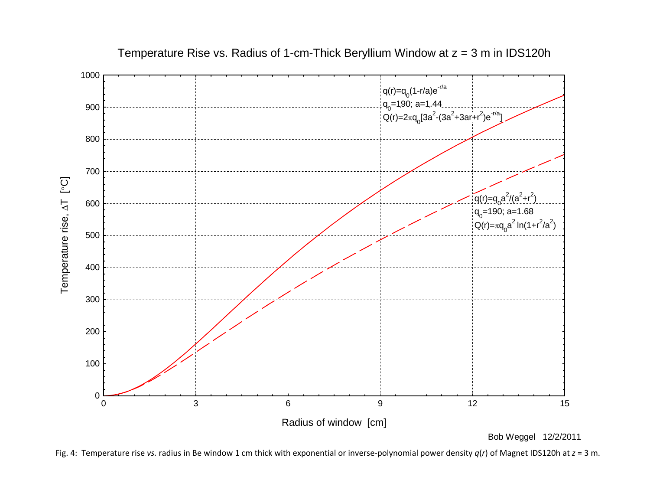

Temperature Rise vs. Radius of 1-cm-Thick Beryllium Window at  $z = 3$  m in IDS120h

Bob Weggel 12/2/2011

Fig. 4: Temperature rise *vs.* radius in Be window 1 cm thick with exponential or inverse‐polynomial power density *q*(*r*) of Magnet IDS120h at *<sup>z</sup>* <sup>=</sup> 3 m.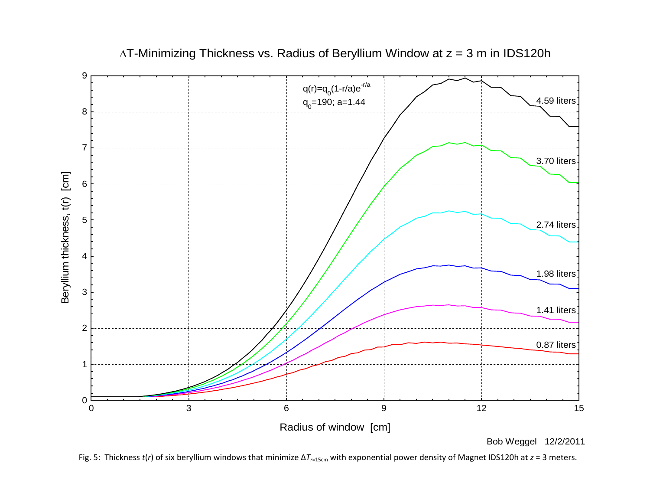

 $\Delta$ T-Minimizing Thickness vs. Radius of Beryllium Window at  $z = 3$  m in IDS120h

Bob Weggel 12/2/2011

Fig. 5: Thickness *<sup>t</sup>*(*r*) of six beryllium windows that minimize ∆*Tr*=15cm with exponential power density of Magnet IDS120h at *<sup>z</sup>* <sup>=</sup> 3 meters.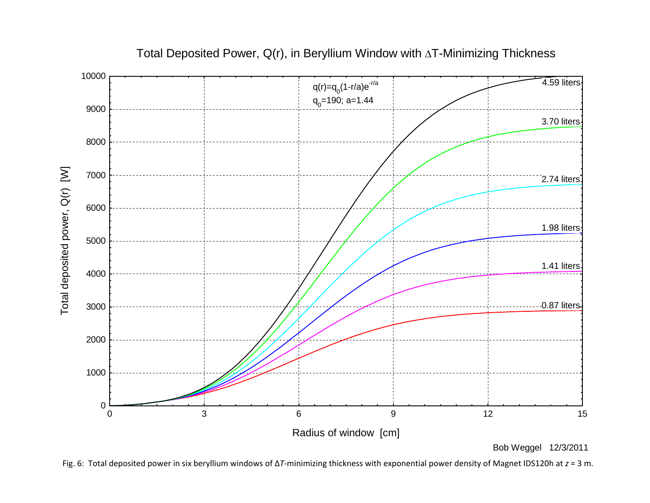

Total Deposited Power,  $Q(r)$ , in Beryllium Window with  $\Delta T$ -Minimizing Thickness

Bob Weggel 12/3/2011

Fig. 6: Total deposited power in six beryllium windows of ∆*T*‐minimizing thickness with exponential power density of Magnet IDS120h at *<sup>z</sup>* <sup>=</sup> 3 m.